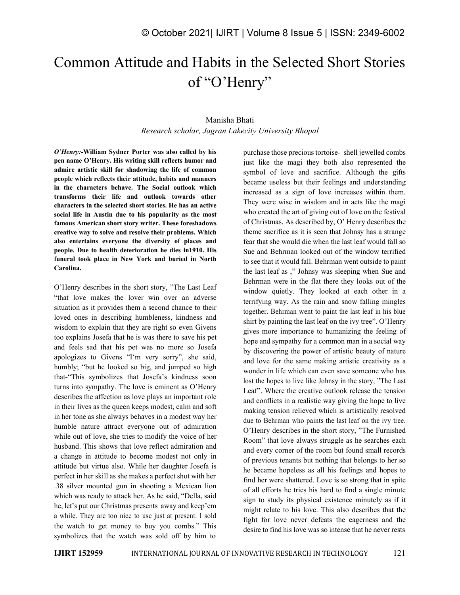## Common Attitude and Habits in the Selected Short Stories of "O'Henry"

## Manisha Bhati *Research scholar, Jagran Lakecity University Bhopal*

*O'Henry:-***William Sydner Porter was also called by his pen name O'Henry. His writing skill reflects humor and admire artistic skill for shadowing the life of common people which reflects their attitude, habits and manners in the characters behave. The Socialoutlook which transforms their life and outlook towards other characters in the selected short stories.He has an active social life in Austin due to his popularity as the most famous American short story writer. These foreshadows creative way to solve and resolve their problems. Which also entertains everyone the diversity of places and people. Due to health deterioration he dies in1910. His funeral took place in New York and buried in North Carolina.**

O'Henry describes in the short story, "The Last Leaf "that love makes the lover win over an adverse situation as it provides them a second chance to their loved ones in describing humbleness, kindness and wisdom to explain that they are right so even Givens too explains Josefa that he is was there to save his pet and feels sad that his pet was no more so Josefa apologizes to Givens "I'm very sorry", she said, humbly; "but he looked so big, and jumped so high that-"This symbolizes that Josefa's kindness soon turns into sympathy. The love is eminent as O'Henry describes the affection as love plays an important role in their lives as the queen keeps modest, calm and soft in her tone as she always behaves in a modest way her humble nature attract everyone out of admiration while out of love, she tries to modify the voice of her husband. This shows that love reflect admiration and a change in attitude to become modest not only in attitude but virtue also. While her daughter Josefa is perfect in her skill as she makes a perfect shot with her .38 silver mounted gun in shooting a Mexican lion which was ready to attack her. As he said, "Della, said he, let's put our Christmas presents away and keep'em a while. They are too nice to use just at present. I sold the watch to get money to buy you combs." This symbolizes that the watch was sold off by him to

purchase those precious tortoise- shell jewelled combs just like the magi they both also represented the symbol of love and sacrifice. Although the gifts became useless but their feelings and understanding increased as a sign of love increases within them. They were wise in wisdom and in acts like the magi who created the art of giving out of love on the festival of Christmas. As described by, O' Henry describes the theme sacrifice as it is seen that Johnsy has a strange fear that she would die when the last leaf would fall so Sue and Behrman looked out of the window terrified to see that it would fall. Behrman went outside to paint the last leaf as ," Johnsy was sleeping when Sue and Behrman were in the flat there they looks out of the window quietly. They looked at each other in a terrifying way. As the rain and snow falling mingles together. Behrman went to paint the last leaf in his blue shirt by painting the last leaf on the ivy tree". O'Henry gives more importance to humanizing the feeling of hope and sympathy for a common man in a social way by discovering the power of artistic beauty of nature and love for the same making artistic creativity as a wonder in life which can even save someone who has lost the hopes to live like Johnsy in the story, "The Last Leaf". Where the creative outlook release the tension and conflicts in a realistic way giving the hope to live making tension relieved which is artistically resolved due to Behrman who paints the last leaf on the ivy tree. O'Henry describes in the short story, "The Furnished Room" that love always struggle as he searches each and every corner of the room but found small records of previous tenants but nothing that belongs to her so he became hopeless as all his feelings and hopes to find her were shattered. Love is so strong that in spite of all efforts he tries his hard to find a single minute sign to study its physical existence minutely as if it might relate to his love. This also describes that the fight for love never defeats the eagerness and the desire to find his love was so intense that he never rests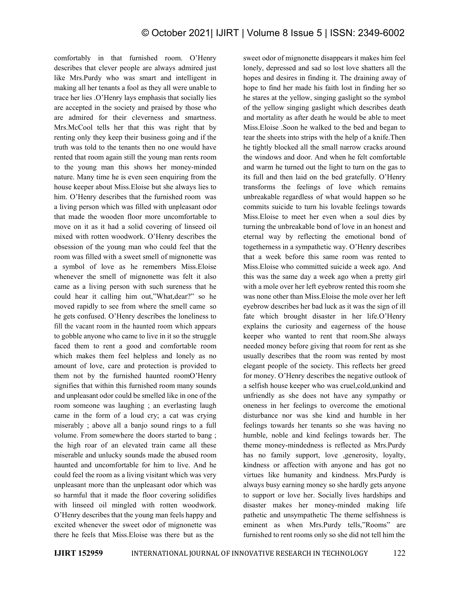comfortably in that furnished room. O'Henry describes that clever people are always admired just like Mrs.Purdy who was smart and intelligent in making all her tenants a fool as they all were unable to trace her lies .O'Henry lays emphasis that socially lies are accepted in the society and praised by those who are admired for their cleverness and smartness. Mrs.McCool tells her that this was right that by renting only they keep their business going and if the truth was told to the tenants then no one would have rented that room again still the young man rents room to the young man this shows her money-minded nature. Many time he is even seen enquiring from the house keeper about Miss.Eloise but she always lies to him. O'Henry describes that the furnished room was a living person which was filled with unpleasant odor that made the wooden floor more uncomfortable to move on it as it had a solid covering of linseed oil mixed with rotten woodwork. O'Henry describes the obsession of the young man who could feel that the room was filled with a sweet smell of mignonette was a symbol of love as he remembers Miss.Eloise whenever the smell of mignonette was felt it also came as a living person with such sureness that he could hear it calling him out,"What,dear?" so he moved rapidly to see from where the smell came so he gets confused. O'Henry describes the loneliness to fill the vacant room in the haunted room which appears to gobble anyone who came to live in it so the struggle faced them to rent a good and comfortable room which makes them feel helpless and lonely as no amount of love, care and protection is provided to them not by the furnished haunted roomO'Henry signifies that within this furnished room many sounds and unpleasant odor could be smelled like in one of the room someone was laughing ; an everlasting laugh came in the form of a loud cry; a cat was crying miserably ; above all a banjo sound rings to a full volume. From somewhere the doors started to bang ; the high roar of an elevated train came all these miserable and unlucky sounds made the abused room haunted and uncomfortable for him to live. And he could feel the room as a living visitant which was very unpleasant more than the unpleasant odor which was so harmful that it made the floor covering solidifies with linseed oil mingled with rotten woodwork. O'Henry describes that the young man feelshappy and excited whenever the sweet odor of mignonette was there he feels that Miss.Eloise was there but as the

sweet odor of mignonette disappears it makes him feel lonely, depressed and sad so lost love shatters all the hopes and desires in finding it. The draining away of hope to find her made his faith lost in finding her so he stares at the yellow, singing gaslight so the symbol of the yellow singing gaslight which describes death and mortality as after death he would be able to meet Miss.Eloise .Soon he walked to the bed and began to tear the sheets into strips with the help of a knife.Then he tightly blocked all the small narrow cracks around the windows and door. And when he felt comfortable and warm he turned out the light to turn on the gas to its full and then laid on the bed gratefully. O'Henry transforms the feelings of love which remains unbreakable regardless of what would happen so he commits suicide to turn his lovable feelings towards Miss.Eloise to meet her even when a soul dies by turning the unbreakable bond of love in an honest and eternal way by reflecting the emotional bond of togetherness in a sympathetic way. O'Henry describes that a week before this same room was rented to Miss.Eloise who committed suicide a week ago. And this was the same day a week ago when a pretty girl with a mole over her left eyebrow rented this room she was none other than Miss.Eloise the mole over her left eyebrow describes her bad luck as it was the sign of ill fate which brought disaster in her life.O'Henry explains the curiosity and eagerness of the house keeper who wanted to rent that room.She always needed money before giving that room for rent as she usually describes that the room was rented by most elegant people of the society. This reflects her greed for money. O'Henry describes the negative outlook of a selfish house keeper who was cruel,cold,unkind and unfriendly as she does not have any sympathy or oneness in her feelings to overcome the emotional disturbance nor was she kind and humble in her feelings towards her tenants so she was having no humble, noble and kind feelings towards her. The theme money-mindedness is reflected as Mrs.Purdy has no family support, love ,generosity, loyalty, kindness or affection with anyone and has got no virtues like humanity and kindness. Mrs.Purdy is always busy earning money so she hardly gets anyone to support or love her. Socially lives hardships and disaster makes her money-minded making life pathetic and unsympathetic The theme selfishness is eminent as when Mrs.Purdy tells,"Rooms" are furnished to rent rooms only so she did not tell him the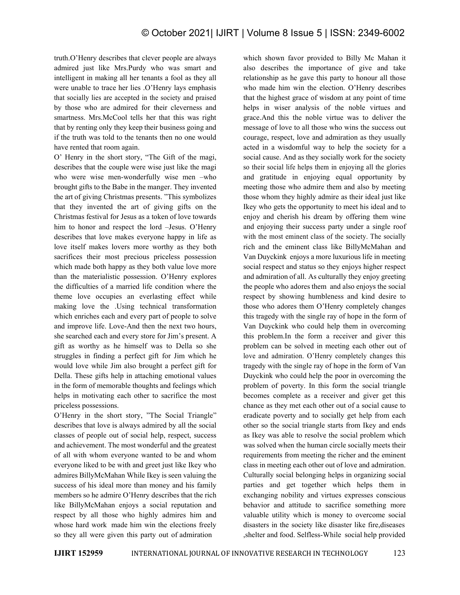truth.O'Henry describes that clever people are always admired just like Mrs.Purdy who was smart and intelligent in making all her tenants a fool as they all were unable to trace her lies .O'Henry lays emphasis that socially lies are accepted in the society and praised by those who are admired for their cleverness and smartness. Mrs.McCool tells her that this was right that by renting only they keep their business going and if the truth was told to the tenants then no one would have rented that room again.

O' Henry in the short story, "The Gift of the magi, describes that the couple were wise just like the magi who were wise men-wonderfully wise men –who brought gifts to the Babe in the manger. They invented the art of giving Christmas presents. "This symbolizes that they invented the art of giving gifts on the Christmas festival for Jesus as a token of love towards him to honor and respect the lord –Jesus. O'Henry describes that love makes everyone happy in life as love itself makes lovers more worthy as they both sacrifices their most precious priceless possession which made both happy as they both value love more than the materialistic possession. O'Henry explores the difficulties of a married life condition where the theme love occupies an everlasting effect while making love the .Using technical transformation which enriches each and every part of people to solve and improve life. Love-And then the next two hours, she searched each and every store for Jim's present. A gift as worthy as he himself was to Della so she struggles in finding a perfect gift for Jim which he would love while Jim also brought a perfect gift for Della. These gifts help in attaching emotional values in the form of memorable thoughts and feelings which helps in motivating each other to sacrifice the most priceless possessions.

O'Henry in the short story, "The Social Triangle" describes that love is always admired by all the social classes of people out of social help, respect, success and achievement. The most wonderful and the greatest of all with whom everyone wanted to be and whom everyone liked to be with and greet just like Ikey who admires BillyMcMahan While Ikey is seen valuing the success of his ideal more than money and his family members so he admire O'Henry describes that the rich like BillyMcMahan enjoys a social reputation and respect by all those who highly admires him and whose hard work made him win the elections freely so they all were given this party out of admiration

which shown favor provided to Billy Mc Mahan it also describes the importance of give and take relationship as he gave this party to honour all those who made him win the election. O'Henry describes that the highest grace of wisdom at any point of time helps in wiser analysis of the noble virtues and grace.And this the noble virtue was to deliver the message of love to all those who wins the success out courage, respect, love and admiration as they usually acted in a wisdomful way to help the society for a social cause. And as they socially work for the society so their social life helps them in enjoying all the glories and gratitude in enjoying equal opportunity by meeting those who admire them and also by meeting those whom they highly admire as their ideal just like Ikey who gets the opportunity to meet his ideal and to enjoy and cherish his dream by offering them wine and enjoying their success party under a single roof with the most eminent class of the society. The socially rich and the eminent class like BillyMcMahan and Van Duyckink enjoys a more luxurious life in meeting social respect and status so they enjoys higher respect and admiration of all. As culturally they enjoy greeting the people who adores them and also enjoys the social respect by showing humbleness and kind desire to those who adores them O'Henry completely changes this tragedy with the single ray of hope in the form of Van Duyckink who could help them in overcoming this problem.In the form a receiver and giver this problem can be solved in meeting each other out of love and admiration. O'Henry completely changes this tragedy with the single ray of hope in the form of Van Duyckink who could help the poor in overcoming the problem of poverty. In this form the social triangle becomes complete as a receiver and giver get this chance as they met each other out of a social cause to eradicate poverty and to socially get help from each other so the social triangle starts from Ikey and ends as Ikey was able to resolve the social problem which was solved when the human circle socially meets their requirements from meeting the richer and the eminent class in meeting each other out of love and admiration. Culturally social belonging helps in organizing social parties and get together which helps them in exchanging nobility and virtues expresses conscious behavior and attitude to sacrifice something more valuable utility which is money to overcome social disasters in the society like disaster like fire,diseases ,shelter and food. Selfless-While social help provided